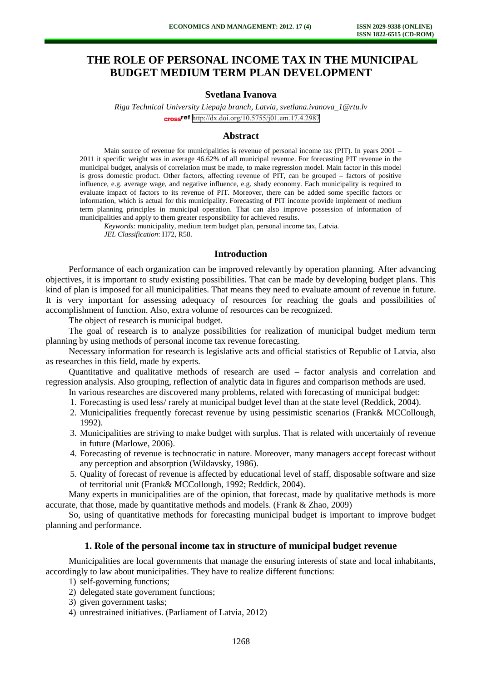# **THE ROLE OF PERSONAL INCOME TAX IN THE MUNICIPAL BUDGET MEDIUM TERM PLAN DEVELOPMENT**

# **Svetlana Ivanova**

*Riga Technical University Liepaja branch, Latvia, svetlana.ivanova\_1@rtu.lv*  cross<sup>ref</sup> <http://dx.doi.org/10.5755/j01.em.17.4.2987>

#### **Abstract**

Main source of revenue for municipalities is revenue of personal income tax (PIT). In years 2001 – 2011 it specific weight was in average 46.62% of all municipal revenue. For forecasting PIT revenue in the municipal budget, analysis of correlation must be made, to make regression model. Main factor in this model is gross domestic product. Other factors, affecting revenue of PIT, can be grouped – factors of positive influence, e.g. average wage, and negative influence, e.g. shady economy. Each municipality is required to evaluate impact of factors to its revenue of PIT. Moreover, there can be added some specific factors or information, which is actual for this municipality. Forecasting of PIT income provide implement of medium term planning principles in municipal operation. That can also improve possession of information of municipalities and apply to them greater responsibility for achieved results.

*Keywords:* municipality, medium term budget plan, personal income tax, Latvia. *JEL Classification*: H72, R58.

#### **Introduction**

Performance of each organization can be improved relevantly by operation planning. After advancing objectives, it is important to study existing possibilities. That can be made by developing budget plans. This kind of plan is imposed for all municipalities. That means they need to evaluate amount of revenue in future. It is very important for assessing adequacy of resources for reaching the goals and possibilities of accomplishment of function. Also, extra volume of resources can be recognized.

The object of research is municipal budget.

The goal of research is to analyze possibilities for realization of municipal budget medium term planning by using methods of personal income tax revenue forecasting.

Necessary information for research is legislative acts and official statistics of Republic of Latvia, also as researches in this field, made by experts.

Quantitative and qualitative methods of research are used – factor analysis and correlation and regression analysis. Also grouping, reflection of analytic data in figures and comparison methods are used.

In various researches are discovered many problems, related with forecasting of municipal budget:

- 1. Forecasting is used less/ rarely at municipal budget level than at the state level (Reddick, 2004).
- 2. Municipalities frequently forecast revenue by using pessimistic scenarios (Frank& MCCollough, 1992).
- 3. Municipalities are striving to make budget with surplus. That is related with uncertainly of revenue in future (Marlowe, 2006).
- 4. Forecasting of revenue is technocratic in nature. Moreover, many managers accept forecast without any perception and absorption (Wildavsky, 1986).
- 5. Quality of forecast of revenue is affected by educational level of staff, disposable software and size of territorial unit (Frank& MCCollough, 1992; Reddick, 2004).

Many experts in municipalities are of the opinion, that forecast, made by qualitative methods is more accurate, that those, made by quantitative methods and models. (Frank & Zhao, 2009)

So, using of quantitative methods for forecasting municipal budget is important to improve budget planning and performance.

### **1. Role of the personal income tax in structure of municipal budget revenue**

Municipalities are local governments that manage the ensuring interests of state and local inhabitants, accordingly to law about municipalities. They have to realize different functions:

- 1) self-governing functions;
- 2) delegated state government functions;
- 3) given government tasks;
- 4) unrestrained initiatives. (Parliament of Latvia, 2012)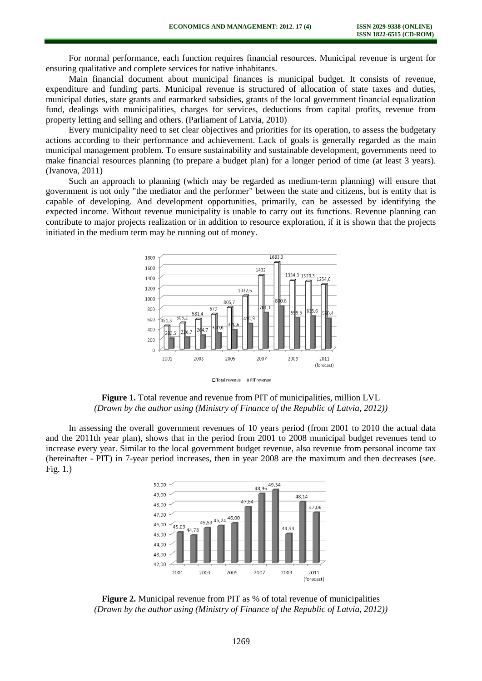For normal performance, each function requires financial resources. Municipal revenue is urgent for ensuring qualitative and complete services for native inhabitants.

Main financial document about municipal finances is municipal budget. It consists of revenue, expenditure and funding parts. Municipal revenue is structured of allocation of state taxes and duties, municipal duties, state grants and earmarked subsidies, grants of the local government financial equalization fund, dealings with municipalities, charges for services, deductions from capital profits, revenue from property letting and selling and others. (Parliament of Latvia, 2010)

Every municipality need to set clear objectives and priorities for its operation, to assess the budgetary actions according to their performance and achievement. Lack of goals is generally regarded as the main municipal management problem. To ensure sustainability and sustainable development, governments need to make financial resources planning (to prepare a budget plan) for a longer period of time (at least 3 years). (Ivanova, 2011)

Such an approach to planning (which may be regarded as medium-term planning) will ensure that government is not only "the mediator and the performer" between the state and citizens, but is entity that is capable of developing. And development opportunities, primarily, can be assessed by identifying the expected income. Without revenue municipality is unable to carry out its functions. Revenue planning can contribute to major projects realization or in addition to resource exploration, if it is shown that the projects initiated in the medium term may be running out of money.



**Figure 1.** Total revenue and revenue from PIT of municipalities, million LVL *(Drawn by the author using (Ministry of Finance of the Republic of Latvia, 2012))*

In assessing the overall government revenues of 10 years period (from 2001 to 2010 the actual data and the 2011th year plan), shows that in the period from 2001 to 2008 municipal budget revenues tend to increase every year. Similar to the local government budget revenue, also revenue from personal income tax (hereinafter - PIT) in 7-year period increases, then in year 2008 are the maximum and then decreases (see. Fig. 1.)



**Figure 2.** Municipal revenue from PIT as % of total revenue of municipalities *(Drawn by the author using (Ministry of Finance of the Republic of Latvia, 2012))*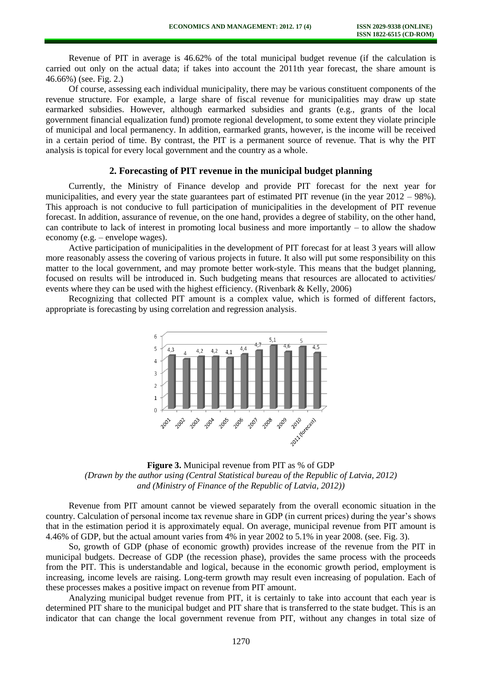Revenue of PIT in average is 46.62% of the total municipal budget revenue (if the calculation is carried out only on the actual data; if takes into account the 2011th year forecast, the share amount is 46.66%) (see. Fig. 2.)

Of course, assessing each individual municipality, there may be various constituent components of the revenue structure. For example, a large share of fiscal revenue for municipalities may draw up state earmarked subsidies. However, although earmarked subsidies and grants (e.g., grants of the local government financial equalization fund) promote regional development, to some extent they violate principle of municipal and local permanency. In addition, earmarked grants, however, is the income will be received in a certain period of time. By contrast, the PIT is a permanent source of revenue. That is why the PIT analysis is topical for every local government and the country as a whole.

## **2. Forecasting of PIT revenue in the municipal budget planning**

Currently, the Ministry of Finance develop and provide PIT forecast for the next year for municipalities, and every year the state guarantees part of estimated PIT revenue (in the year 2012 – 98%). This approach is not conducive to full participation of municipalities in the development of PIT revenue forecast. In addition, assurance of revenue, on the one hand, provides a degree of stability, on the other hand, can contribute to lack of interest in promoting local business and more importantly – to allow the shadow economy (e.g. – envelope wages).

Active participation of municipalities in the development of PIT forecast for at least 3 years will allow more reasonably assess the covering of various projects in future. It also will put some responsibility on this matter to the local government, and may promote better work-style. This means that the budget planning, focused on results will be introduced in. Such budgeting means that resources are allocated to activities/ events where they can be used with the highest efficiency. (Rivenbark & Kelly, 2006)

Recognizing that collected PIT amount is a complex value, which is formed of different factors, appropriate is forecasting by using correlation and regression analysis.



**Figure 3.** Municipal revenue from PIT as % of GDP *(Drawn by the author using (Central Statistical bureau of the Republic of Latvia, 2012) and (Ministry of Finance of the Republic of Latvia, 2012))*

Revenue from PIT amount cannot be viewed separately from the overall economic situation in the country. Calculation of personal income tax revenue share in GDP (in current prices) during the year's shows that in the estimation period it is approximately equal. On average, municipal revenue from PIT amount is 4.46% of GDP, but the actual amount varies from 4% in year 2002 to 5.1% in year 2008. (see. Fig. 3).

So, growth of GDP (phase of economic growth) provides increase of the revenue from the PIT in municipal budgets. Decrease of GDP (the recession phase), provides the same process with the proceeds from the PIT. This is understandable and logical, because in the economic growth period, employment is increasing, income levels are raising. Long-term growth may result even increasing of population. Each of these processes makes a positive impact on revenue from PIT amount.

Analyzing municipal budget revenue from PIT, it is certainly to take into account that each year is determined PIT share to the municipal budget and PIT share that is transferred to the state budget. This is an indicator that can change the local government revenue from PIT, without any changes in total size of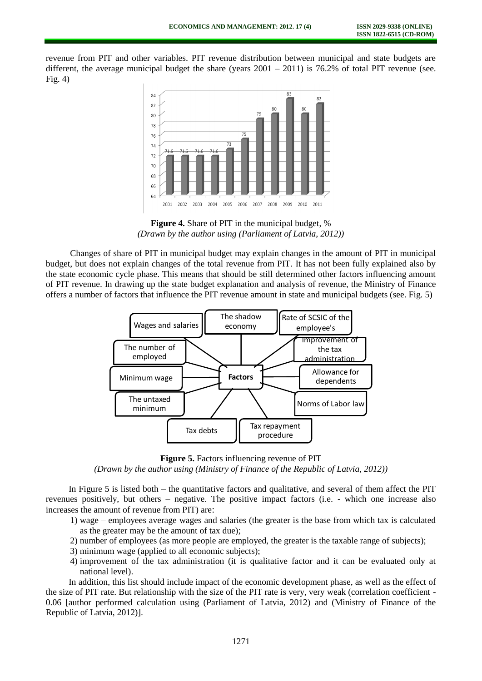revenue from PIT and other variables. PIT revenue distribution between municipal and state budgets are different, the average municipal budget the share (years  $2001 - 2011$ ) is 76.2% of total PIT revenue (see.  $Fig. 4)$ 



**Figure 4.** Share of PIT in the municipal budget, % *(Drawn by the author using (Parliament of Latvia, 2012))*

Changes of share of PIT in municipal budget may explain changes in the amount of PIT in municipal budget, but does not explain changes of the total revenue from PIT. It has not been fully explained also by the state economic cycle phase. This means that should be still determined other factors influencing amount of PIT revenue. In drawing up the state budget explanation and analysis of revenue, the Ministry of Finance offers a number of factors that influence the PIT revenue amount in state and municipal budgets (see. Fig. 5)



**Figure 5.** Factors influencing revenue of PIT

*(Drawn by the author using (Ministry of Finance of the Republic of Latvia, 2012))*

In Figure 5 is listed both – the quantitative factors and qualitative, and several of them affect the PIT revenues positively, but others – negative. The positive impact factors (i.e. - which one increase also increases the amount of revenue from PIT) are:

- 1) wage employees average wages and salaries (the greater is the base from which tax is calculated as the greater may be the amount of tax due);
- 2) number of employees (as more people are employed, the greater is the taxable range of subjects);
- 3) minimum wage (applied to all economic subjects);
- 4) improvement of the tax administration (it is qualitative factor and it can be evaluated only at national level).

In addition, this list should include impact of the economic development phase, as well as the effect of the size of PIT rate. But relationship with the size of the PIT rate is very, very weak (correlation coefficient - 0.06 [author performed calculation using (Parliament of Latvia, 2012) and (Ministry of Finance of the Republic of Latvia, 2012)].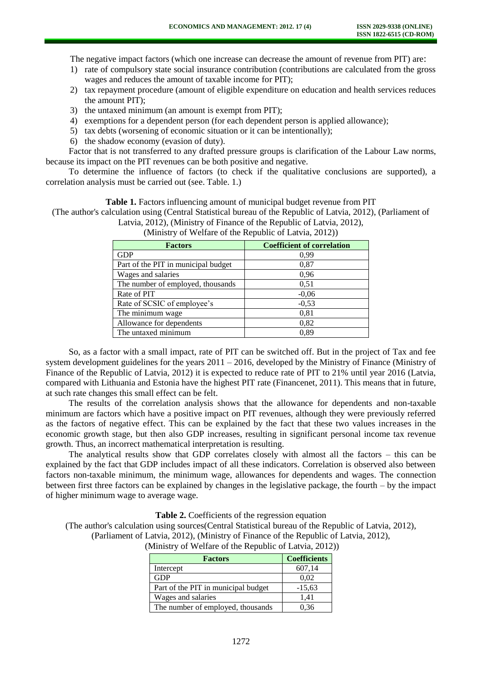The negative impact factors (which one increase can decrease the amount of revenue from PIT) are:

- 1) rate of compulsory state social insurance contribution (contributions are calculated from the gross wages and reduces the amount of taxable income for PIT);
- 2) tax repayment procedure (amount of eligible expenditure on education and health services reduces the amount PIT);
- 3) the untaxed minimum (an amount is exempt from PIT);
- 4) exemptions for a dependent person (for each dependent person is applied allowance);
- 5) tax debts (worsening of economic situation or it can be intentionally);
- 6) the shadow economy (evasion of duty).

Factor that is not transferred to any drafted pressure groups is clarification of the Labour Law norms, because its impact on the PIT revenues can be both positive and negative.

To determine the influence of factors (to check if the qualitative conclusions are supported), a correlation analysis must be carried out (see. Table. 1.)

### **Table 1.** Factors influencing amount of municipal budget revenue from PIT

(The author's calculation using (Central Statistical bureau of the Republic of Latvia, 2012), (Parliament of Latvia, 2012), (Ministry of Finance of the Republic of Latvia, 2012),

| <b>Factors</b>                      | <b>Coefficient of correlation</b> |
|-------------------------------------|-----------------------------------|
| <b>GDP</b>                          | 0.99                              |
| Part of the PIT in municipal budget | 0.87                              |
| Wages and salaries                  | 0,96                              |
| The number of employed, thousands   | 0,51                              |
| Rate of PIT                         | $-0,06$                           |
| Rate of SCSIC of employee's         | $-0,53$                           |
| The minimum wage                    | 0,81                              |
| Allowance for dependents            | 0,82                              |
| The untaxed minimum                 | 0,89                              |

(Ministry of Welfare of the Republic of Latvia, 2012))

So, as a factor with a small impact, rate of PIT can be switched off. But in the project of Tax and fee system development guidelines for the years 2011 – 2016, developed by the Ministry of Finance (Ministry of Finance of the Republic of Latvia, 2012) it is expected to reduce rate of PIT to 21% until year 2016 (Latvia, compared with Lithuania and Estonia have the highest PIT rate (Financenet, 2011). This means that in future, at such rate changes this small effect can be felt.

The results of the correlation analysis shows that the allowance for dependents and non-taxable minimum are factors which have a positive impact on PIT revenues, although they were previously referred as the factors of negative effect. This can be explained by the fact that these two values increases in the economic growth stage, but then also GDP increases, resulting in significant personal income tax revenue growth. Thus, an incorrect mathematical interpretation is resulting.

The analytical results show that GDP correlates closely with almost all the factors – this can be explained by the fact that GDP includes impact of all these indicators. Correlation is observed also between factors non-taxable minimum, the minimum wage, allowances for dependents and wages. The connection between first three factors can be explained by changes in the legislative package, the fourth – by the impact of higher minimum wage to average wage.

**Table 2.** Coefficients of the regression equation

(The author's calculation using sources(Central Statistical bureau of the Republic of Latvia, 2012),

(Parliament of Latvia, 2012), (Ministry of Finance of the Republic of Latvia, 2012),

(Ministry of Welfare of the Republic of Latvia, 2012))

| <b>Factors</b>                      | <b>Coefficients</b> |
|-------------------------------------|---------------------|
| Intercept                           | 607,14              |
| <b>GDP</b>                          | 0,02                |
| Part of the PIT in municipal budget | $-15,63$            |
| Wages and salaries                  | 1,41                |
| The number of employed, thousands   | 0.36                |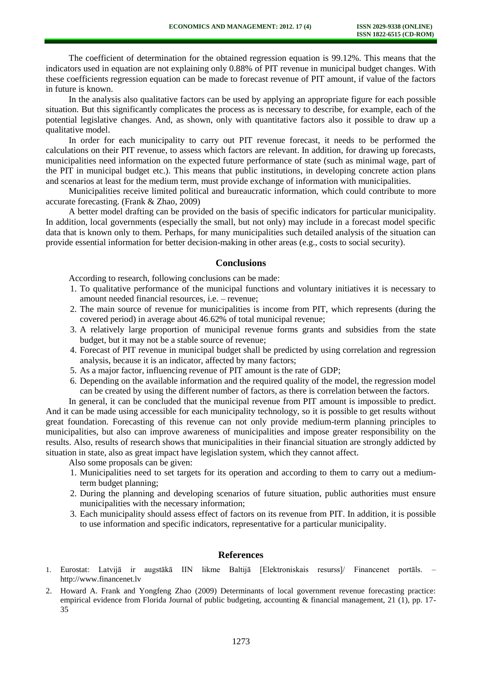The coefficient of determination for the obtained regression equation is 99.12%. This means that the indicators used in equation are not explaining only 0.88% of PIT revenue in municipal budget changes. With these coefficients regression equation can be made to forecast revenue of PIT amount, if value of the factors in future is known.

In the analysis also qualitative factors can be used by applying an appropriate figure for each possible situation. But this significantly complicates the process as is necessary to describe, for example, each of the potential legislative changes. And, as shown, only with quantitative factors also it possible to draw up a qualitative model.

In order for each municipality to carry out PIT revenue forecast, it needs to be performed the calculations on their PIT revenue, to assess which factors are relevant. In addition, for drawing up forecasts, municipalities need information on the expected future performance of state (such as minimal wage, part of the PIT in municipal budget etc.). This means that public institutions, in developing concrete action plans and scenarios at least for the medium term, must provide exchange of information with municipalities.

Municipalities receive limited political and bureaucratic information, which could contribute to more accurate forecasting. (Frank & Zhao, 2009)

A better model drafting can be provided on the basis of specific indicators for particular municipality. In addition, local governments (especially the small, but not only) may include in a forecast model specific data that is known only to them. Perhaps, for many municipalities such detailed analysis of the situation can provide essential information for better decision-making in other areas (e.g., costs to social security).

### **Conclusions**

According to research, following conclusions can be made:

- 1. To qualitative performance of the municipal functions and voluntary initiatives it is necessary to amount needed financial resources, i.e. – revenue;
- 2. The main source of revenue for municipalities is income from PIT, which represents (during the covered period) in average about 46.62% of total municipal revenue;
- 3. A relatively large proportion of municipal revenue forms grants and subsidies from the state budget, but it may not be a stable source of revenue;
- 4. Forecast of PIT revenue in municipal budget shall be predicted by using correlation and regression analysis, because it is an indicator, affected by many factors;
- 5. As a major factor, influencing revenue of PIT amount is the rate of GDP;
- 6. Depending on the available information and the required quality of the model, the regression model can be created by using the different number of factors, as there is correlation between the factors.

In general, it can be concluded that the municipal revenue from PIT amount is impossible to predict. And it can be made using accessible for each municipality technology, so it is possible to get results without great foundation. Forecasting of this revenue can not only provide medium-term planning principles to municipalities, but also can improve awareness of municipalities and impose greater responsibility on the results. Also, results of research shows that municipalities in their financial situation are strongly addicted by situation in state, also as great impact have legislation system, which they cannot affect.

Also some proposals can be given:

- 1. Municipalities need to set targets for its operation and according to them to carry out a mediumterm budget planning;
- 2. During the planning and developing scenarios of future situation, public authorities must ensure municipalities with the necessary information;
- 3. Each municipality should assess effect of factors on its revenue from PIT. In addition, it is possible to use information and specific indicators, representative for a particular municipality.

#### **References**

- 1. Eurostat: Latvijā ir augstākā IIN likme Baltijā [Elektroniskais resurss]/ Financenet portāls. [http://www.financenet.lv](http://www.financenet.lv/)
- 2. Howard A. Frank and Yongfeng Zhao (2009) Determinants of local government revenue forecasting practice: empirical evidence from Florida Journal of public budgeting, accounting & financial management, 21 (1), pp. 17-35